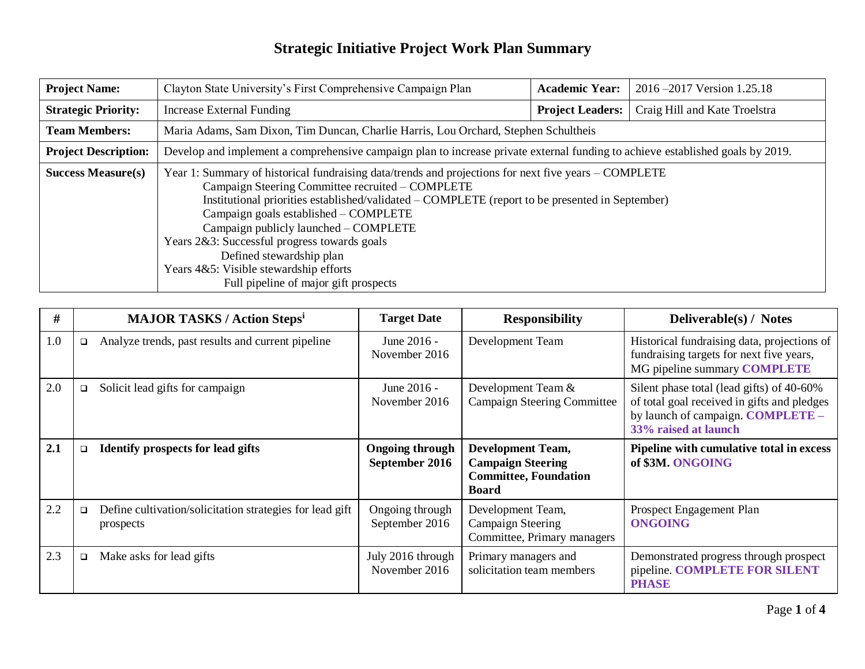| <b>Project Name:</b>        | Clayton State University's First Comprehensive Campaign Plan                                                                                                                                                                                                                                                                                                                                                                                                                                                 | <b>Academic Year:</b>   | 2016–2017 Version 1.25.18     |  |  |
|-----------------------------|--------------------------------------------------------------------------------------------------------------------------------------------------------------------------------------------------------------------------------------------------------------------------------------------------------------------------------------------------------------------------------------------------------------------------------------------------------------------------------------------------------------|-------------------------|-------------------------------|--|--|
| <b>Strategic Priority:</b>  | Increase External Funding                                                                                                                                                                                                                                                                                                                                                                                                                                                                                    | <b>Project Leaders:</b> | Craig Hill and Kate Troelstra |  |  |
| <b>Team Members:</b>        | Maria Adams, Sam Dixon, Tim Duncan, Charlie Harris, Lou Orchard, Stephen Schultheis                                                                                                                                                                                                                                                                                                                                                                                                                          |                         |                               |  |  |
| <b>Project Description:</b> | Develop and implement a comprehensive campaign plan to increase private external funding to achieve established goals by 2019.                                                                                                                                                                                                                                                                                                                                                                               |                         |                               |  |  |
| <b>Success Measure(s)</b>   | Year 1: Summary of historical fundraising data/trends and projections for next five years – COMPLETE<br>Campaign Steering Committee recruited – COMPLETE<br>Institutional priorities established/validated – COMPLETE (report to be presented in September)<br>Campaign goals established – COMPLETE<br>Campaign publicly launched – COMPLETE<br>Years 2&3: Successful progress towards goals<br>Defined stewardship plan<br>Years 4&5: Visible stewardship efforts<br>Full pipeline of major gift prospects |                         |                               |  |  |

| #   |        | <b>MAJOR TASKS / Action Stepsi</b>                                    | <b>Target Date</b>                       | <b>Responsibility</b>                                                                                | Deliverable(s) / Notes                                                                                                                                |
|-----|--------|-----------------------------------------------------------------------|------------------------------------------|------------------------------------------------------------------------------------------------------|-------------------------------------------------------------------------------------------------------------------------------------------------------|
| 1.0 | $\Box$ | Analyze trends, past results and current pipeline                     | June 2016 -<br>November 2016             | Development Team                                                                                     | Historical fundraising data, projections of<br>fundraising targets for next five years,<br>MG pipeline summary COMPLETE                               |
| 2.0 | $\Box$ | Solicit lead gifts for campaign                                       | June 2016 -<br>November 2016             | Development Team &<br><b>Campaign Steering Committee</b>                                             | Silent phase total (lead gifts) of 40-60%<br>of total goal received in gifts and pledges<br>by launch of campaign. COMPLETE -<br>33% raised at launch |
| 2.1 | $\Box$ | <b>Identify prospects for lead gifts</b>                              | <b>Ongoing through</b><br>September 2016 | <b>Development Team,</b><br><b>Campaign Steering</b><br><b>Committee, Foundation</b><br><b>Board</b> | Pipeline with cumulative total in excess<br>of \$3M. ONGOING                                                                                          |
| 2.2 | $\Box$ | Define cultivation/solicitation strategies for lead gift<br>prospects | Ongoing through<br>September 2016        | Development Team,<br><b>Campaign Steering</b><br>Committee, Primary managers                         | Prospect Engagement Plan<br><b>ONGOING</b>                                                                                                            |
| 2.3 | $\Box$ | Make asks for lead gifts                                              | July 2016 through<br>November 2016       | Primary managers and<br>solicitation team members                                                    | Demonstrated progress through prospect<br>pipeline. COMPLETE FOR SILENT<br><b>PHASE</b>                                                               |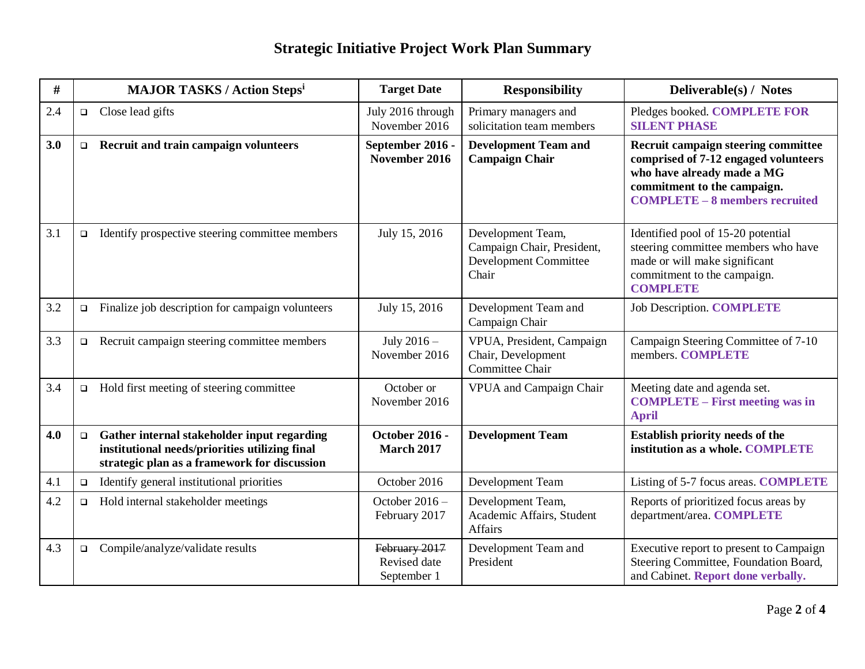| #   |        | <b>MAJOR TASKS / Action Stepsi</b>                                                                                                            | <b>Target Date</b>                           | <b>Responsibility</b>                                                                    | Deliverable(s) / Notes                                                                                                                                                            |
|-----|--------|-----------------------------------------------------------------------------------------------------------------------------------------------|----------------------------------------------|------------------------------------------------------------------------------------------|-----------------------------------------------------------------------------------------------------------------------------------------------------------------------------------|
| 2.4 | $\Box$ | Close lead gifts                                                                                                                              | July 2016 through<br>November 2016           | Primary managers and<br>solicitation team members                                        | Pledges booked. COMPLETE FOR<br><b>SILENT PHASE</b>                                                                                                                               |
| 3.0 | $\Box$ | Recruit and train campaign volunteers                                                                                                         | September 2016 -<br>November 2016            | <b>Development Team and</b><br><b>Campaign Chair</b>                                     | Recruit campaign steering committee<br>comprised of 7-12 engaged volunteers<br>who have already made a MG<br>commitment to the campaign.<br><b>COMPLETE - 8 members recruited</b> |
| 3.1 | $\Box$ | Identify prospective steering committee members                                                                                               | July 15, 2016                                | Development Team,<br>Campaign Chair, President,<br><b>Development Committee</b><br>Chair | Identified pool of 15-20 potential<br>steering committee members who have<br>made or will make significant<br>commitment to the campaign.<br><b>COMPLETE</b>                      |
| 3.2 | $\Box$ | Finalize job description for campaign volunteers                                                                                              | July 15, 2016                                | Development Team and<br>Campaign Chair                                                   | <b>Job Description. COMPLETE</b>                                                                                                                                                  |
| 3.3 | $\Box$ | Recruit campaign steering committee members                                                                                                   | July $2016 -$<br>November 2016               | VPUA, President, Campaign<br>Chair, Development<br>Committee Chair                       | Campaign Steering Committee of 7-10<br>members. COMPLETE                                                                                                                          |
| 3.4 | $\Box$ | Hold first meeting of steering committee                                                                                                      | October or<br>November 2016                  | VPUA and Campaign Chair                                                                  | Meeting date and agenda set.<br><b>COMPLETE – First meeting was in</b><br><b>April</b>                                                                                            |
| 4.0 | $\Box$ | Gather internal stakeholder input regarding<br>institutional needs/priorities utilizing final<br>strategic plan as a framework for discussion | <b>October 2016 -</b><br><b>March 2017</b>   | <b>Development Team</b>                                                                  | <b>Establish priority needs of the</b><br>institution as a whole. COMPLETE                                                                                                        |
| 4.1 | $\Box$ | Identify general institutional priorities                                                                                                     | October 2016                                 | Development Team                                                                         | Listing of 5-7 focus areas. COMPLETE                                                                                                                                              |
| 4.2 | $\Box$ | Hold internal stakeholder meetings                                                                                                            | October 2016 -<br>February 2017              | Development Team,<br>Academic Affairs, Student<br><b>Affairs</b>                         | Reports of prioritized focus areas by<br>department/area. COMPLETE                                                                                                                |
| 4.3 | $\Box$ | Compile/analyze/validate results                                                                                                              | February 2017<br>Revised date<br>September 1 | Development Team and<br>President                                                        | Executive report to present to Campaign<br>Steering Committee, Foundation Board,<br>and Cabinet. Report done verbally.                                                            |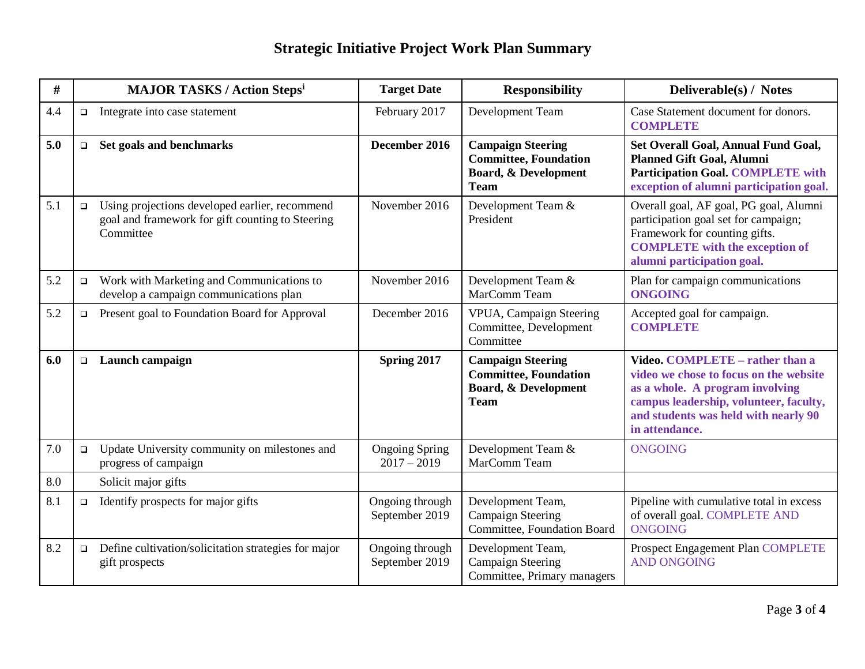| #   |        | <b>MAJOR TASKS / Action Stepsi</b>                                                                              | <b>Target Date</b>                     | <b>Responsibility</b>                                                                                      | Deliverable(s) / Notes                                                                                                                                                                                           |
|-----|--------|-----------------------------------------------------------------------------------------------------------------|----------------------------------------|------------------------------------------------------------------------------------------------------------|------------------------------------------------------------------------------------------------------------------------------------------------------------------------------------------------------------------|
| 4.4 | $\Box$ | Integrate into case statement                                                                                   | February 2017                          | Development Team                                                                                           | Case Statement document for donors.<br><b>COMPLETE</b>                                                                                                                                                           |
| 5.0 | $\Box$ | Set goals and benchmarks                                                                                        | December 2016                          | <b>Campaign Steering</b><br><b>Committee, Foundation</b><br><b>Board, &amp; Development</b><br><b>Team</b> | <b>Set Overall Goal, Annual Fund Goal,</b><br><b>Planned Gift Goal, Alumni</b><br><b>Participation Goal. COMPLETE with</b><br>exception of alumni participation goal.                                            |
| 5.1 | $\Box$ | Using projections developed earlier, recommend<br>goal and framework for gift counting to Steering<br>Committee | November 2016                          | Development Team &<br>President                                                                            | Overall goal, AF goal, PG goal, Alumni<br>participation goal set for campaign;<br>Framework for counting gifts.<br><b>COMPLETE</b> with the exception of<br>alumni participation goal.                           |
| 5.2 | $\Box$ | Work with Marketing and Communications to<br>develop a campaign communications plan                             | November 2016                          | Development Team &<br>MarComm Team                                                                         | Plan for campaign communications<br><b>ONGOING</b>                                                                                                                                                               |
| 5.2 | $\Box$ | Present goal to Foundation Board for Approval                                                                   | December 2016                          | VPUA, Campaign Steering<br>Committee, Development<br>Committee                                             | Accepted goal for campaign.<br><b>COMPLETE</b>                                                                                                                                                                   |
| 6.0 | $\Box$ | Launch campaign                                                                                                 | Spring 2017                            | <b>Campaign Steering</b><br><b>Committee, Foundation</b><br><b>Board, &amp; Development</b><br><b>Team</b> | Video. COMPLETE - rather than a<br>video we chose to focus on the website<br>as a whole. A program involving<br>campus leadership, volunteer, faculty,<br>and students was held with nearly 90<br>in attendance. |
| 7.0 | $\Box$ | Update University community on milestones and<br>progress of campaign                                           | <b>Ongoing Spring</b><br>$2017 - 2019$ | Development Team &<br>MarComm Team                                                                         | <b>ONGOING</b>                                                                                                                                                                                                   |
| 8.0 |        | Solicit major gifts                                                                                             |                                        |                                                                                                            |                                                                                                                                                                                                                  |
| 8.1 | $\Box$ | Identify prospects for major gifts                                                                              | Ongoing through<br>September 2019      | Development Team,<br><b>Campaign Steering</b><br>Committee, Foundation Board                               | Pipeline with cumulative total in excess<br>of overall goal. COMPLETE AND<br><b>ONGOING</b>                                                                                                                      |
| 8.2 | $\Box$ | Define cultivation/solicitation strategies for major<br>gift prospects                                          | Ongoing through<br>September 2019      | Development Team,<br><b>Campaign Steering</b><br>Committee, Primary managers                               | Prospect Engagement Plan COMPLETE<br><b>AND ONGOING</b>                                                                                                                                                          |